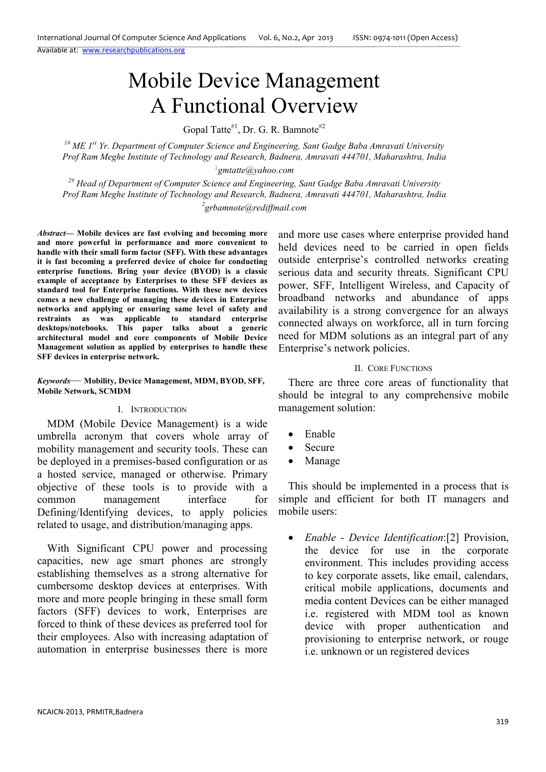Available at: www.researchpublications.org

# Mobile Device Management A Functional Overview

Gopal Tatte<sup>#1</sup>, Dr. G. R. Bamnote<sup>#2</sup>

*1# ME 1st Yr. Department of Computer Science and Engineering, Sant Gadge Baba Amravati University Prof Ram Meghe Institute of Technology and Research, Badnera, Amravati 444701, Maharashtra, India* 

1 *gmtatte@yahoo.com*

*2# Head of Department of Computer Science and Engineering, Sant Gadge Baba Amravati University Prof Ram Meghe Institute of Technology and Research, Badnera, Amravati 444701, Maharashtra, India 2 grbamnote@rediffmail.com* 

*Abstract***— Mobile devices are fast evolving and becoming more and more powerful in performance and more convenient to handle with their small form factor (SFF). With these advantages it is fast becoming a preferred device of choice for conducting enterprise functions. Bring your device (BYOD) is a classic example of acceptance by Enterprises to these SFF devices as standard tool for Enterprise functions. With these new devices comes a new challenge of managing these devices in Enterprise networks and applying or ensuring same level of safety and restraints as was applicable to standard enterprise desktops/notebooks. This paper talks about a generic architectural model and core components of Mobile Device Management solution as applied by enterprises to handle these SFF devices in enterprise network.** 

*Keywords*— **Mobility, Device Management, MDM, BYOD, SFF, Mobile Network, SCMDM**

#### I. INTRODUCTION

MDM (Mobile Device Management) is a wide umbrella acronym that covers whole array of mobility management and security tools. These can be deployed in a premises-based configuration or as a hosted service, managed or otherwise. Primary objective of these tools is to provide with a common management interface for Defining/Identifying devices, to apply policies related to usage, and distribution/managing apps.

With Significant CPU power and processing capacities, new age smart phones are strongly establishing themselves as a strong alternative for cumbersome desktop devices at enterprises. With more and more people bringing in these small form factors (SFF) devices to work, Enterprises are forced to think of these devices as preferred tool for their employees. Also with increasing adaptation of automation in enterprise businesses there is more

and more use cases where enterprise provided hand held devices need to be carried in open fields outside enterprise's controlled networks creating serious data and security threats. Significant CPU power, SFF, Intelligent Wireless, and Capacity of broadband networks and abundance of apps availability is a strong convergence for an always connected always on workforce, all in turn forcing need for MDM solutions as an integral part of any Enterprise's network policies.

# II. CORE FUNCTIONS

There are three core areas of functionality that should be integral to any comprehensive mobile management solution:

- Enable
- Secure
- Manage

This should be implemented in a process that is simple and efficient for both IT managers and mobile users:

• *Enable - Device Identification*:[2] Provision, the device for use in the corporate environment. This includes providing access to key corporate assets, like email, calendars, critical mobile applications, documents and media content Devices can be either managed i.e. registered with MDM tool as known device with proper authentication and provisioning to enterprise network, or rouge i.e. unknown or un registered devices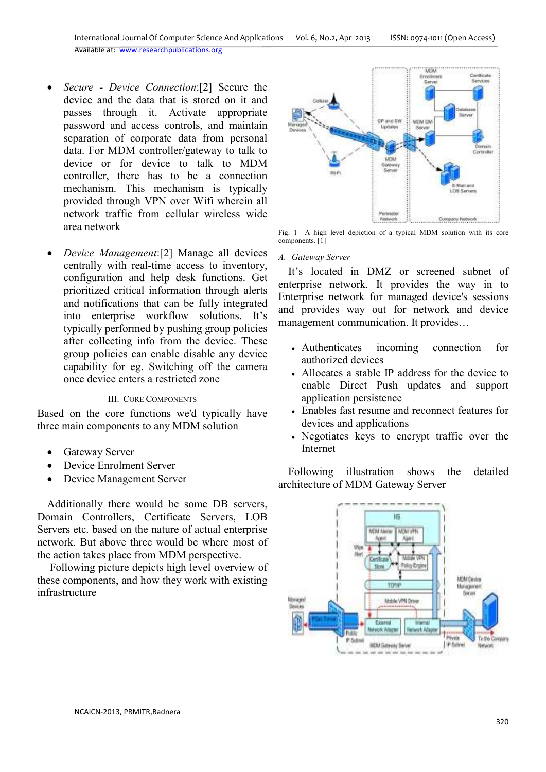- *Secure Device Connection*:[2] Secure the device and the data that is stored on it and passes through it. Activate appropriate password and access controls, and maintain separation of corporate data from personal data. For MDM controller/gateway to talk to device or for device to talk to MDM controller, there has to be a connection mechanism. This mechanism is typically provided through VPN over Wifi wherein all network traffic from cellular wireless wide area network
- *Device Management*:[2] Manage all devices centrally with real-time access to inventory, configuration and help desk functions. Get prioritized critical information through alerts and notifications that can be fully integrated into enterprise workflow solutions. It's typically performed by pushing group policies after collecting info from the device. These group policies can enable disable any device capability for eg. Switching off the camera once device enters a restricted zone

# III. CORE COMPONENTS

Based on the core functions we'd typically have three main components to any MDM solution

- Gateway Server
- Device Enrolment Server
- Device Management Server

Additionally there would be some DB servers, Domain Controllers, Certificate Servers, LOB Servers etc. based on the nature of actual enterprise network. But above three would be where most of the action takes place from MDM perspective.

 Following picture depicts high level overview of these components, and how they work with existing infrastructure



Fig. 1 A high level depiction of a typical MDM solution with its core components. [1]

# *A. Gateway Server*

It's located in DMZ or screened subnet of enterprise network. It provides the way in to Enterprise network for managed device's sessions and provides way out for network and device management communication. It provides…

- Authenticates incoming connection for authorized devices
- Allocates a stable IP address for the device to enable Direct Push updates and support application persistence
- Enables fast resume and reconnect features for devices and applications
- Negotiates keys to encrypt traffic over the Internet

Following illustration shows the detailed architecture of MDM Gateway Server

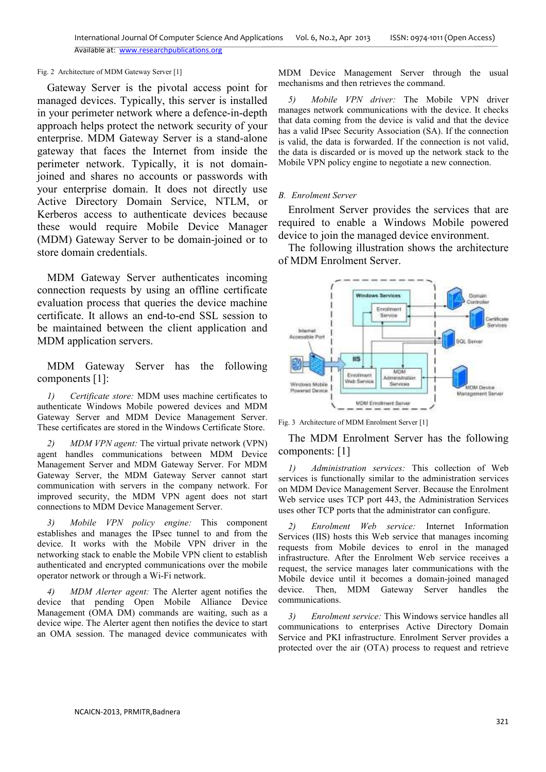#### Fig. 2 Architecture of MDM Gateway Server [1]

Gateway Server is the pivotal access point for managed devices. Typically, this server is installed in your perimeter network where a defence-in-depth approach helps protect the network security of your enterprise. MDM Gateway Server is a stand-alone gateway that faces the Internet from inside the perimeter network. Typically, it is not domainjoined and shares no accounts or passwords with your enterprise domain. It does not directly use Active Directory Domain Service, NTLM, or Kerberos access to authenticate devices because these would require Mobile Device Manager (MDM) Gateway Server to be domain-joined or to store domain credentials.

MDM Gateway Server authenticates incoming connection requests by using an offline certificate evaluation process that queries the device machine certificate. It allows an end-to-end SSL session to be maintained between the client application and MDM application servers.

MDM Gateway Server has the following components [1]:

*1) Certificate store:* MDM uses machine certificates to authenticate Windows Mobile powered devices and MDM Gateway Server and MDM Device Management Server. These certificates are stored in the Windows Certificate Store.

*2) MDM VPN agent:* The virtual private network (VPN) agent handles communications between MDM Device Management Server and MDM Gateway Server. For MDM Gateway Server, the MDM Gateway Server cannot start communication with servers in the company network. For improved security, the MDM VPN agent does not start connections to MDM Device Management Server.

*3) Mobile VPN policy engine:* This component establishes and manages the IPsec tunnel to and from the device. It works with the Mobile VPN driver in the networking stack to enable the Mobile VPN client to establish authenticated and encrypted communications over the mobile operator network or through a Wi-Fi network.

*4) MDM Alerter agent:* The Alerter agent notifies the device that pending Open Mobile Alliance Device Management (OMA DM) commands are waiting, such as a device wipe. The Alerter agent then notifies the device to start an OMA session. The managed device communicates with

MDM Device Management Server through the usual mechanisms and then retrieves the command.

*5) Mobile VPN driver:* The Mobile VPN driver manages network communications with the device. It checks that data coming from the device is valid and that the device has a valid IPsec Security Association (SA). If the connection is valid, the data is forwarded. If the connection is not valid, the data is discarded or is moved up the network stack to the Mobile VPN policy engine to negotiate a new connection.

#### *B. Enrolment Server*

Enrolment Server provides the services that are required to enable a Windows Mobile powered device to join the managed device environment.

The following illustration shows the architecture of MDM Enrolment Server.



Fig. 3 Architecture of MDM Enrolment Server [1]

The MDM Enrolment Server has the following components: [1]

*1) Administration services:* This collection of Web services is functionally similar to the administration services on MDM Device Management Server. Because the Enrolment Web service uses TCP port 443, the Administration Services uses other TCP ports that the administrator can configure.

*2) Enrolment Web service:* Internet Information Services (IIS) hosts this Web service that manages incoming requests from Mobile devices to enrol in the managed infrastructure. After the Enrolment Web service receives a request, the service manages later communications with the Mobile device until it becomes a domain-joined managed device. Then, MDM Gateway Server handles the communications.

*3) Enrolment service:* This Windows service handles all communications to enterprises Active Directory Domain Service and PKI infrastructure. Enrolment Server provides a protected over the air (OTA) process to request and retrieve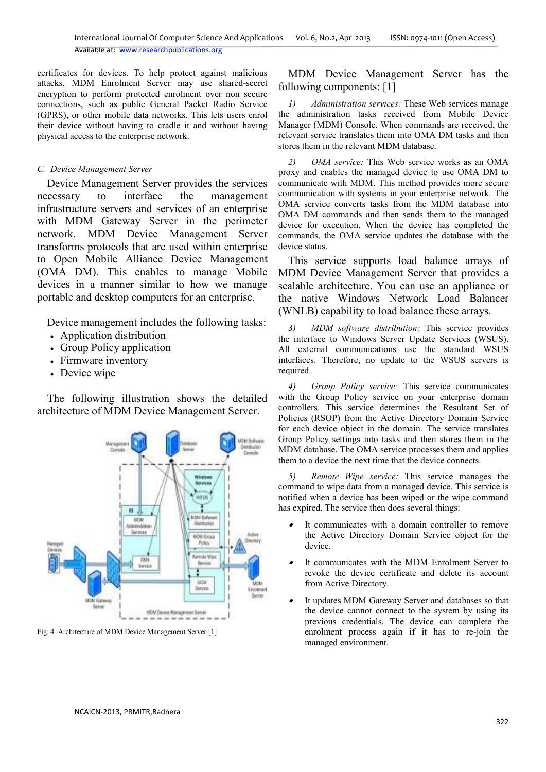Available at: www.researchpublications.org

certificates for devices. To help protect against malicious attacks, MDM Enrolment Server may use shared-secret encryption to perform protected enrolment over non secure connections, such as public General Packet Radio Service (GPRS), or other mobile data networks. This lets users enrol their device without having to cradle it and without having physical access to the enterprise network.

# *C. Device Management Server*

Device Management Server provides the services necessary to interface the management infrastructure servers and services of an enterprise with MDM Gateway Server in the perimeter network. MDM Device Management Server transforms protocols that are used within enterprise to Open Mobile Alliance Device Management (OMA DM). This enables to manage Mobile devices in a manner similar to how we manage portable and desktop computers for an enterprise.

Device management includes the following tasks:

- Application distribution
- Group Policy application
- Firmware inventory
- Device wipe

The following illustration shows the detailed architecture of MDM Device Management Server.



Fig. 4 Architecture of MDM Device Management Server [1]

MDM Device Management Server has the following components: [1]

*1) Administration services:* These Web services manage the administration tasks received from Mobile Device Manager (MDM) Console. When commands are received, the relevant service translates them into OMA DM tasks and then stores them in the relevant MDM database.

*2) OMA service:* This Web service works as an OMA proxy and enables the managed device to use OMA DM to communicate with MDM. This method provides more secure communication with systems in your enterprise network. The OMA service converts tasks from the MDM database into OMA DM commands and then sends them to the managed device for execution. When the device has completed the commands, the OMA service updates the database with the device status.

This service supports load balance arrays of MDM Device Management Server that provides a scalable architecture. You can use an appliance or the native Windows Network Load Balancer (WNLB) capability to load balance these arrays.

*3) MDM software distribution:* This service provides the interface to Windows Server Update Services (WSUS). All external communications use the standard WSUS interfaces. Therefore, no update to the WSUS servers is required.

*4) Group Policy service:* This service communicates with the Group Policy service on your enterprise domain controllers. This service determines the Resultant Set of Policies (RSOP) from the Active Directory Domain Service for each device object in the domain. The service translates Group Policy settings into tasks and then stores them in the MDM database. The OMA service processes them and applies them to a device the next time that the device connects.

*5) Remote Wipe service:* This service manages the command to wipe data from a managed device. This service is notified when a device has been wiped or the wipe command has expired. The service then does several things:

- • It communicates with a domain controller to remove the Active Directory Domain Service object for the device.
- • It communicates with the MDM Enrolment Server to revoke the device certificate and delete its account from Active Directory.
- • It updates MDM Gateway Server and databases so that the device cannot connect to the system by using its previous credentials. The device can complete the enrolment process again if it has to re-join the managed environment.